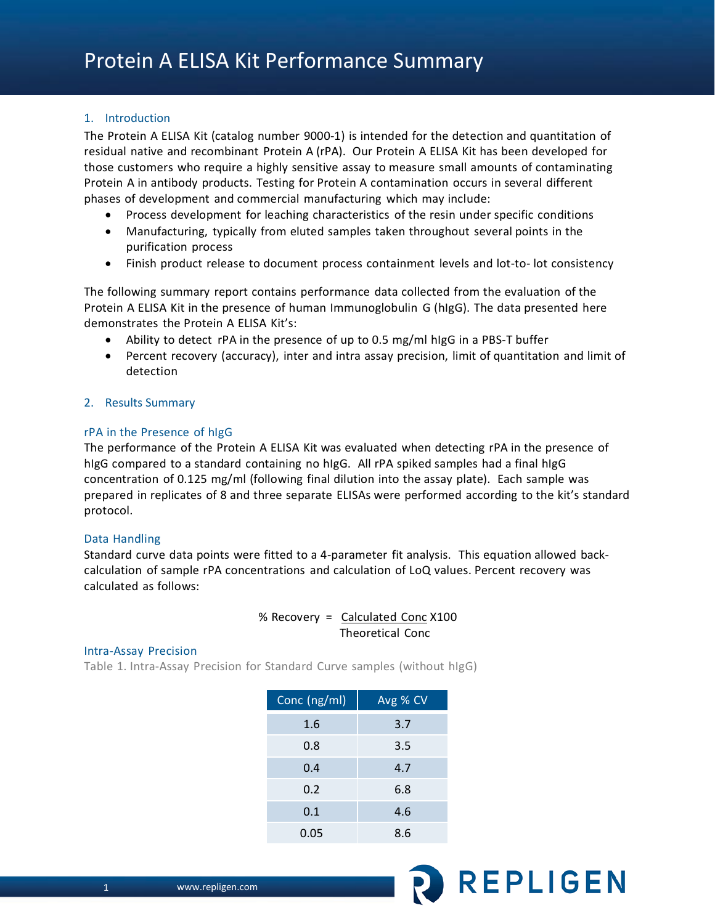# 1. Introduction

The Protein A ELISA Kit (catalog number 9000-1) is intended for the detection and quantitation of residual native and recombinant Protein A (rPA). Our Protein A ELISA Kit has been developed for those customers who require a highly sensitive assay to measure small amounts of contaminating Protein A in antibody products. Testing for Protein A contamination occurs in several different phases of development and commercial manufacturing which may include:

- Process development for leaching characteristics of the resin under specific conditions
- Manufacturing, typically from eluted samples taken throughout several points in the purification process
- Finish product release to document process containment levels and lot-to- lot consistency

The following summary report contains performance data collected from the evaluation of the Protein A ELISA Kit in the presence of human Immunoglobulin G (hIgG). The data presented here demonstrates the Protein A ELISA Kit's:

- Ability to detect rPA in the presence of up to 0.5 mg/ml hIgG in a PBS-T buffer
- Percent recovery (accuracy), inter and intra assay precision, limit of quantitation and limit of detection

# 2. Results Summary

## rPA in the Presence of hIgG

The performance of the Protein A ELISA Kit was evaluated when detecting rPA in the presence of hIgG compared to a standard containing no hIgG. All rPA spiked samples had a final hIgG concentration of 0.125 mg/ml (following final dilution into the assay plate). Each sample was prepared in replicates of 8 and three separate ELISAs were performed according to the kit's standard protocol.

# Data Handling

Standard curve data points were fitted to a 4-parameter fit analysis. This equation allowed backcalculation of sample rPA concentrations and calculation of LoQ values. Percent recovery was calculated as follows:

# % Recovery = Calculated Conc X100 Theoretical Conc

### Intra-Assay Precision

Table 1. Intra-Assay Precision for Standard Curve samples (without hIgG)

| Conc (ng/ml) | Avg % CV |
|--------------|----------|
| 1.6          | 3.7      |
| 0.8          | 3.5      |
| 0.4          | 4.7      |
| 0.2          | 6.8      |
| 0.1          | 4.6      |
| 0.05         | 8.6      |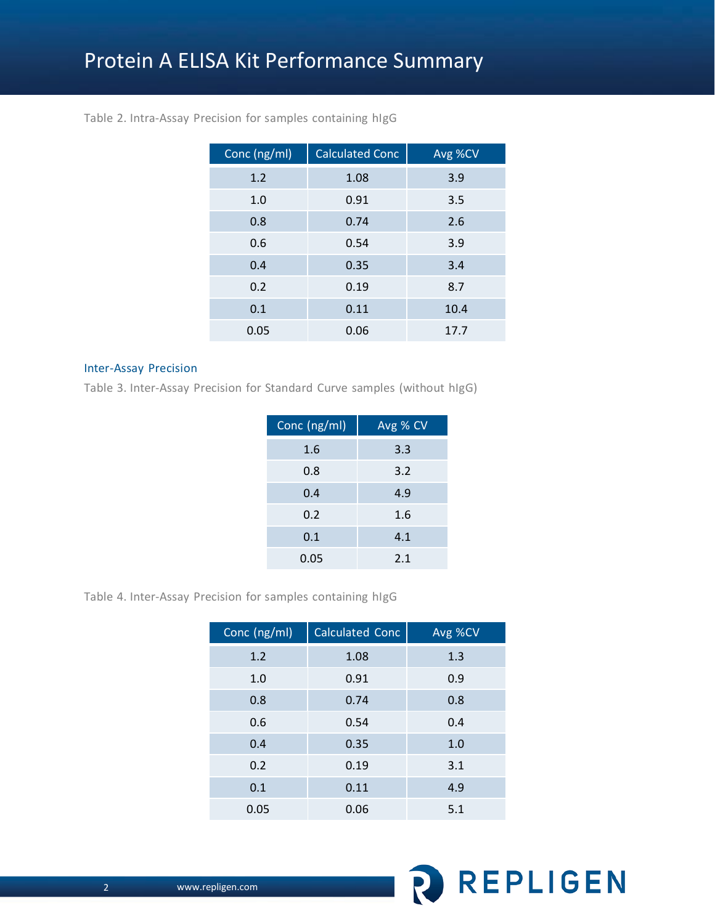| Conc (ng/ml) | <b>Calculated Conc</b> | Avg %CV |
|--------------|------------------------|---------|
| 1.2          | 1.08                   | 3.9     |
| 1.0          | 0.91                   | 3.5     |
| 0.8          | 0.74                   | 2.6     |
| 0.6          | 0.54                   | 3.9     |
| 0.4          | 0.35                   | 3.4     |
| 0.2          | 0.19                   | 8.7     |
| 0.1          | 0.11                   | 10.4    |
| 0.05         | 0.06                   | 17.7    |

# Table 2. Intra-Assay Precision for samples containing hIgG

## Inter-Assay Precision

Table 3. Inter-Assay Precision for Standard Curve samples (without hIgG)

| Conc (ng/ml) | Avg % CV |
|--------------|----------|
| 1.6          | 3.3      |
| 0.8          | 3.2      |
| 0.4          | 4.9      |
| 0.2          | 1.6      |
| 0.1          | 4.1      |
| 0.05         | 2.1      |

Table 4. Inter-Assay Precision for samples containing hIgG

| Conc (ng/ml) | <b>Calculated Conc</b> | Avg %CV |
|--------------|------------------------|---------|
| 1.2          | 1.08                   | 1.3     |
| 1.0          | 0.91                   | 0.9     |
| 0.8          | 0.74                   | 0.8     |
| 0.6          | 0.54                   | 0.4     |
| 0.4          | 0.35                   | 1.0     |
| 0.2          | 0.19                   | 3.1     |
| 0.1          | 0.11                   | 4.9     |
| 0.05         | 0.06                   | 5.1     |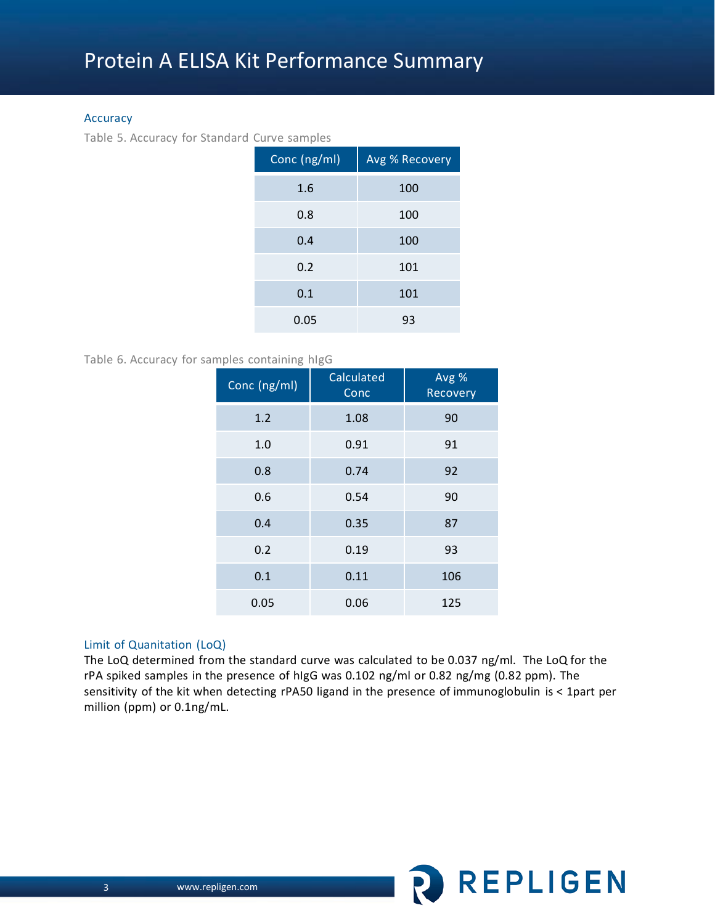## Accuracy

Table 5. Accuracy for Standard Curve samples

| Conc (ng/ml) | <b>Avg % Recovery</b> |
|--------------|-----------------------|
| 1.6          | 100                   |
| 0.8          | 100                   |
| 0.4          | 100                   |
| 0.2          | 101                   |
| 0.1          | 101                   |
| 0.05         | 93                    |

# Table 6. Accuracy for samples containing hIgG

| Conc (ng/ml) | Calculated<br>Conc | Avg %<br>Recovery |
|--------------|--------------------|-------------------|
| 1.2          | 1.08               | 90                |
| 1.0          | 0.91               | 91                |
| 0.8          | 0.74               | 92                |
| 0.6          | 0.54               | 90                |
| 0.4          | 0.35               | 87                |
| 0.2          | 0.19               | 93                |
| 0.1          | 0.11               | 106               |
| 0.05         | 0.06               | 125               |

### Limit of Quanitation (LoQ)

The LoQ determined from the standard curve was calculated to be 0.037 ng/ml. The LoQ for the rPA spiked samples in the presence of hIgG was 0.102 ng/ml or 0.82 ng/mg (0.82 ppm). The sensitivity of the kit when detecting rPA50 ligand in the presence of immunoglobulin is < 1part per million (ppm) or 0.1ng/mL.

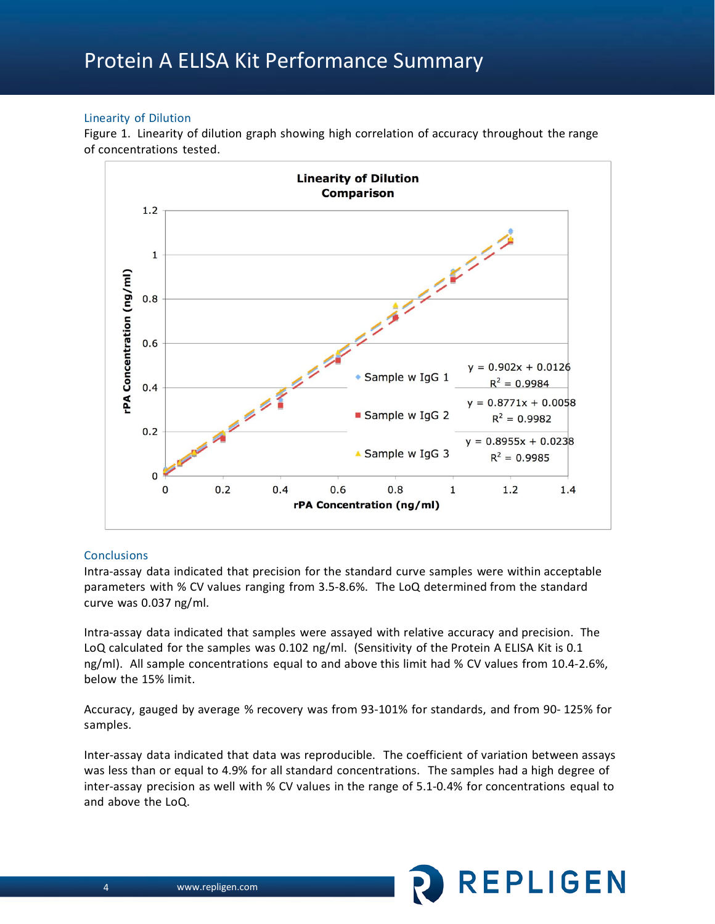# Protein A ELISA Kit Performance Summary

# Linearity of Dilution

Figure 1. Linearity of dilution graph showing high correlation of accuracy throughout the range of concentrations tested.



# **Conclusions**

Intra-assay data indicated that precision for the standard curve samples were within acceptable parameters with % CV values ranging from 3.5-8.6%. The LoQ determined from the standard curve was 0.037 ng/ml.

Intra-assay data indicated that samples were assayed with relative accuracy and precision. The LoQ calculated for the samples was 0.102 ng/ml. (Sensitivity of the Protein A ELISA Kit is 0.1 ng/ml). All sample concentrations equal to and above this limit had % CV values from 10.4-2.6%, below the 15% limit.

Accuracy, gauged by average % recovery was from 93-101% for standards, and from 90- 125% for samples.

Inter-assay data indicated that data was reproducible. The coefficient of variation between assays was less than or equal to 4.9% for all standard concentrations. The samples had a high degree of inter-assay precision as well with % CV values in the range of 5.1-0.4% for concentrations equal to and above the LoQ.